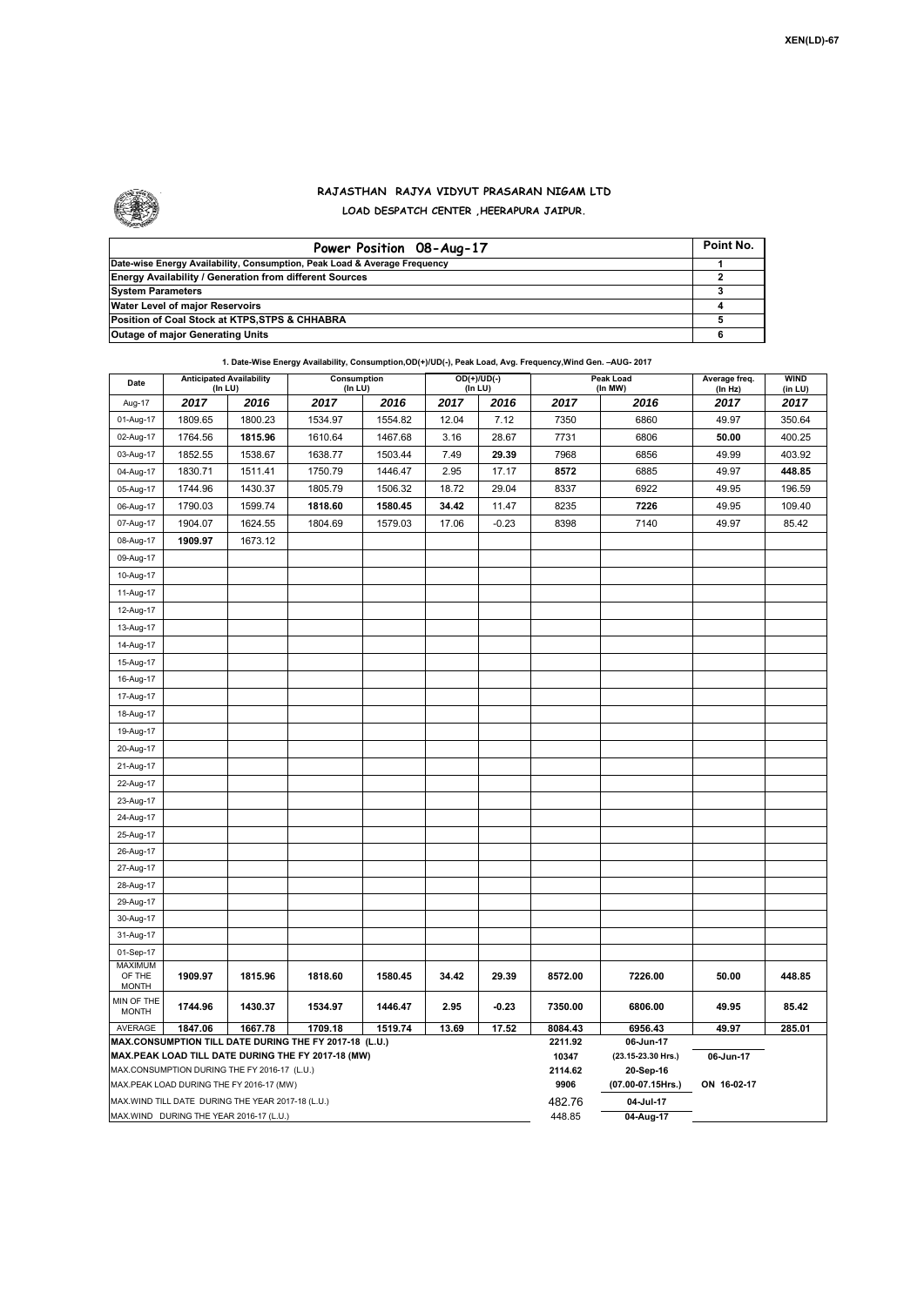

## **RAJASTHAN RAJYA VIDYUT PRASARAN NIGAM LTD LOAD DESPATCH CENTER ,HEERAPURA JAIPUR.**

| Power Position 08-Aug-17                                                  | Point No. |
|---------------------------------------------------------------------------|-----------|
| Date-wise Energy Availability, Consumption, Peak Load & Average Frequency |           |
| <b>Energy Availability / Generation from different Sources</b>            |           |
| <b>System Parameters</b>                                                  |           |
| Water Level of major Reservoirs                                           |           |
| Position of Coal Stock at KTPS, STPS & CHHABRA                            |           |
| <b>Outage of major Generating Units</b>                                   |           |

|                                                                                                              |                                                   |         | 1. Date-Wise Energy Availability, Consumption, OD(+)/UD(-), Peak Load, Avg. Frequency, Wind Gen. - AUG- 2017 |         |       |         |                      |                                 |                        |        |  |  |  |
|--------------------------------------------------------------------------------------------------------------|---------------------------------------------------|---------|--------------------------------------------------------------------------------------------------------------|---------|-------|---------|----------------------|---------------------------------|------------------------|--------|--|--|--|
| Date                                                                                                         | <b>Anticipated Availability</b><br>(In LU)        |         | Consumption<br>$OD(+)/UD(-)$<br>(In LU)<br>(In LU)                                                           |         |       |         | Peak Load<br>(In MW) | Average freq.<br>(In Hz)        | <b>WIND</b><br>(in LU) |        |  |  |  |
| Aug-17                                                                                                       | 2017                                              | 2016    | 2017                                                                                                         | 2016    | 2017  | 2016    | 2017                 | 2016                            | 2017                   | 2017   |  |  |  |
| 01-Aug-17                                                                                                    | 1809.65                                           | 1800.23 | 1534.97                                                                                                      | 1554.82 | 12.04 | 7.12    | 7350                 | 6860                            | 49.97                  | 350.64 |  |  |  |
| 02-Aug-17                                                                                                    | 1764.56                                           | 1815.96 | 1610.64                                                                                                      | 1467.68 | 3.16  | 28.67   | 7731                 | 6806                            | 50.00                  | 400.25 |  |  |  |
| 03-Aug-17                                                                                                    | 1852.55                                           | 1538.67 | 1638.77                                                                                                      | 1503.44 | 7.49  | 29.39   | 7968                 | 6856                            | 49.99                  | 403.92 |  |  |  |
| 04-Aug-17                                                                                                    | 1830.71                                           | 1511.41 | 1750.79                                                                                                      | 1446.47 | 2.95  | 17.17   | 8572                 | 6885                            | 49.97                  | 448.85 |  |  |  |
| 05-Aug-17                                                                                                    | 1744.96                                           | 1430.37 | 1805.79                                                                                                      | 1506.32 | 18.72 | 29.04   | 8337                 | 6922                            | 49.95                  | 196.59 |  |  |  |
| 06-Aug-17                                                                                                    | 1790.03                                           | 1599.74 | 1818.60                                                                                                      | 1580.45 | 34.42 | 11.47   | 8235                 | 7226                            | 49.95                  | 109.40 |  |  |  |
| 07-Aug-17                                                                                                    | 1904.07                                           | 1624.55 | 1804.69                                                                                                      | 1579.03 | 17.06 | $-0.23$ | 8398                 | 7140                            | 49.97                  | 85.42  |  |  |  |
| 08-Aug-17                                                                                                    | 1909.97                                           | 1673.12 |                                                                                                              |         |       |         |                      |                                 |                        |        |  |  |  |
| 09-Aug-17                                                                                                    |                                                   |         |                                                                                                              |         |       |         |                      |                                 |                        |        |  |  |  |
| 10-Aug-17                                                                                                    |                                                   |         |                                                                                                              |         |       |         |                      |                                 |                        |        |  |  |  |
| 11-Aug-17                                                                                                    |                                                   |         |                                                                                                              |         |       |         |                      |                                 |                        |        |  |  |  |
| 12-Aug-17                                                                                                    |                                                   |         |                                                                                                              |         |       |         |                      |                                 |                        |        |  |  |  |
| 13-Aug-17                                                                                                    |                                                   |         |                                                                                                              |         |       |         |                      |                                 |                        |        |  |  |  |
| 14-Aug-17                                                                                                    |                                                   |         |                                                                                                              |         |       |         |                      |                                 |                        |        |  |  |  |
| 15-Aug-17                                                                                                    |                                                   |         |                                                                                                              |         |       |         |                      |                                 |                        |        |  |  |  |
| 16-Aug-17                                                                                                    |                                                   |         |                                                                                                              |         |       |         |                      |                                 |                        |        |  |  |  |
| 17-Aug-17                                                                                                    |                                                   |         |                                                                                                              |         |       |         |                      |                                 |                        |        |  |  |  |
| 18-Aug-17                                                                                                    |                                                   |         |                                                                                                              |         |       |         |                      |                                 |                        |        |  |  |  |
| 19-Aug-17                                                                                                    |                                                   |         |                                                                                                              |         |       |         |                      |                                 |                        |        |  |  |  |
| 20-Aug-17                                                                                                    |                                                   |         |                                                                                                              |         |       |         |                      |                                 |                        |        |  |  |  |
| 21-Aug-17                                                                                                    |                                                   |         |                                                                                                              |         |       |         |                      |                                 |                        |        |  |  |  |
| 22-Aug-17                                                                                                    |                                                   |         |                                                                                                              |         |       |         |                      |                                 |                        |        |  |  |  |
| 23-Aug-17                                                                                                    |                                                   |         |                                                                                                              |         |       |         |                      |                                 |                        |        |  |  |  |
| 24-Aug-17                                                                                                    |                                                   |         |                                                                                                              |         |       |         |                      |                                 |                        |        |  |  |  |
| 25-Aug-17                                                                                                    |                                                   |         |                                                                                                              |         |       |         |                      |                                 |                        |        |  |  |  |
| 26-Aug-17                                                                                                    |                                                   |         |                                                                                                              |         |       |         |                      |                                 |                        |        |  |  |  |
| 27-Aug-17                                                                                                    |                                                   |         |                                                                                                              |         |       |         |                      |                                 |                        |        |  |  |  |
| 28-Aug-17                                                                                                    |                                                   |         |                                                                                                              |         |       |         |                      |                                 |                        |        |  |  |  |
| 29-Aug-17                                                                                                    |                                                   |         |                                                                                                              |         |       |         |                      |                                 |                        |        |  |  |  |
| 30-Aug-17                                                                                                    |                                                   |         |                                                                                                              |         |       |         |                      |                                 |                        |        |  |  |  |
| 31-Aug-17                                                                                                    |                                                   |         |                                                                                                              |         |       |         |                      |                                 |                        |        |  |  |  |
| 01-Sep-17                                                                                                    |                                                   |         |                                                                                                              |         |       |         |                      |                                 |                        |        |  |  |  |
| MAXIMUM<br>OF THE                                                                                            | 1909.97                                           | 1815.96 | 1818.60                                                                                                      | 1580.45 | 34.42 | 29.39   | 8572.00              | 7226.00                         | 50.00                  | 448.85 |  |  |  |
| <b>MONTH</b>                                                                                                 |                                                   |         |                                                                                                              |         |       |         |                      |                                 |                        |        |  |  |  |
| MIN OF THE<br><b>MONTH</b>                                                                                   | 1744.96                                           | 1430.37 | 1534.97                                                                                                      | 1446.47 | 2.95  | $-0.23$ | 7350.00              | 6806.00                         | 49.95                  | 85.42  |  |  |  |
| AVERAGE                                                                                                      | 1847.06                                           | 1667.78 | 1709.18                                                                                                      | 1519.74 | 13.69 | 17.52   | 8084.43<br>2211.92   | 6956.43                         | 49.97                  | 285.01 |  |  |  |
| MAX.CONSUMPTION TILL DATE DURING THE FY 2017-18 (L.U.)<br>MAX.PEAK LOAD TILL DATE DURING THE FY 2017-18 (MW) |                                                   |         |                                                                                                              |         |       |         |                      | 06-Jun-17<br>(23.15-23.30 Hrs.) | 06-Jun-17              |        |  |  |  |
| MAX.CONSUMPTION DURING THE FY 2016-17 (L.U.)                                                                 |                                                   |         |                                                                                                              |         |       |         |                      | 20-Sep-16                       |                        |        |  |  |  |
| MAX.PEAK LOAD DURING THE FY 2016-17 (MW)                                                                     |                                                   |         |                                                                                                              |         |       |         |                      | (07.00-07.15Hrs.)               | ON 16-02-17            |        |  |  |  |
|                                                                                                              | MAX.WIND TILL DATE DURING THE YEAR 2017-18 (L.U.) |         |                                                                                                              |         |       |         | 9906<br>482.76       | 04-Jul-17                       |                        |        |  |  |  |
| MAX.WIND DURING THE YEAR 2016-17 (L.U.)                                                                      |                                                   |         |                                                                                                              |         |       |         |                      | 04-Aug-17                       |                        |        |  |  |  |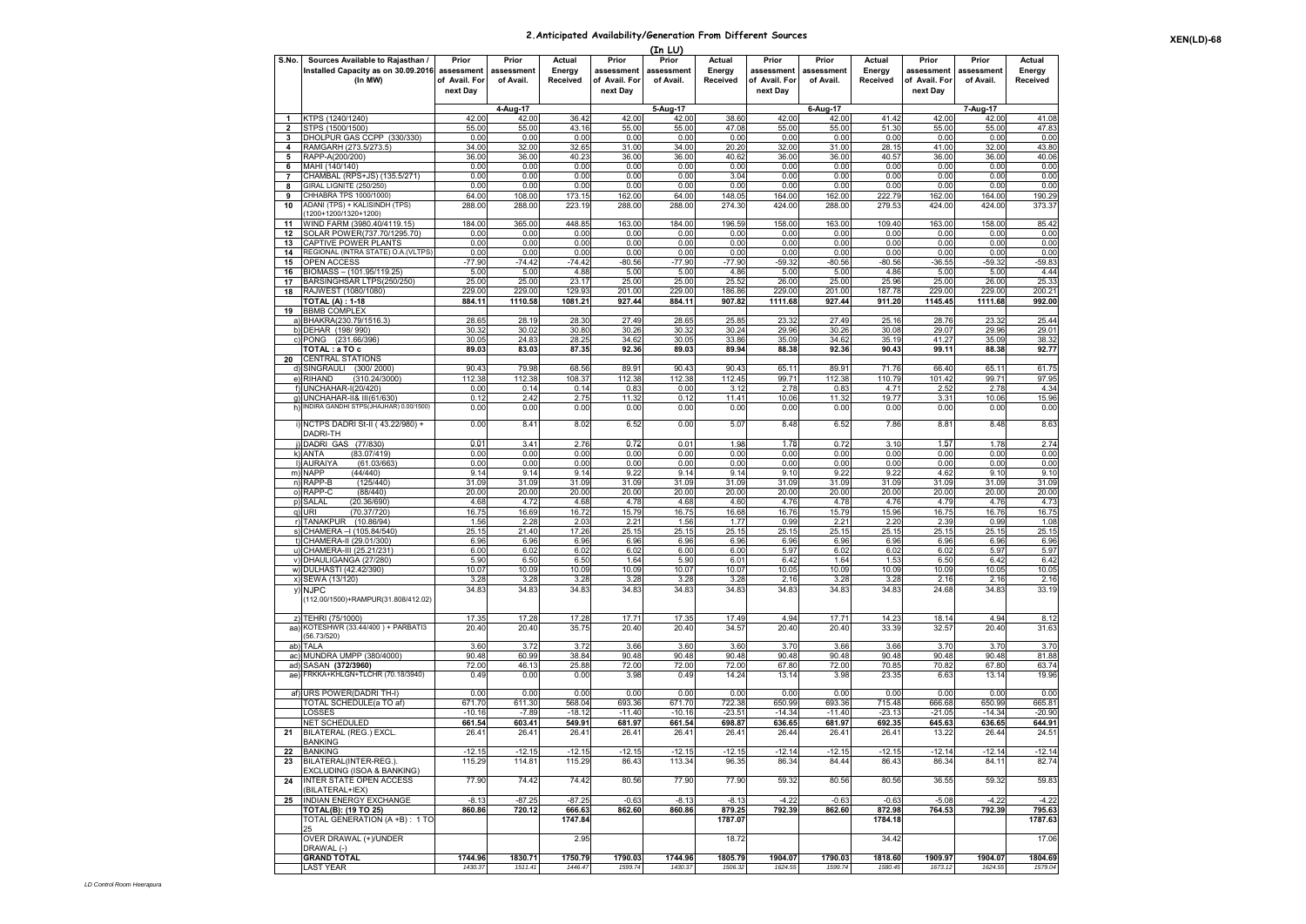## **2.Anticipated Availability/Generation From Different Sources**

|                         | (In LU)                                                      |                    |                    |                    |                    |                    |                    |                    |                    |                    |                    |                    |                    |
|-------------------------|--------------------------------------------------------------|--------------------|--------------------|--------------------|--------------------|--------------------|--------------------|--------------------|--------------------|--------------------|--------------------|--------------------|--------------------|
| S.No.                   | Sources Available to Rajasthan /                             | Prior              | Prior              | Actual             | Prior              | Prior              | Actual             | Prior              | Prior              | Actual             | Prior              | Prior              | Actual             |
|                         | Installed Capacity as on 30.09.2016                          | assessment         | assessment         | Energy             | assessment         | assessment         | Energy             | assessment         | assessment         | Energy             | assessment         | assessment         | Energy             |
|                         | (In MW)                                                      | of Avail. For      | of Avail.          | Received           | of Avail. For      | of Avail.          | Received           | of Avail. For      | of Avail.          | Received           | of Avail. For      | of Avail.          | Received           |
|                         |                                                              | next Day           |                    |                    | next Day           |                    |                    | next Day           |                    |                    | next Day           |                    |                    |
|                         |                                                              |                    | 4-Aug-17           |                    |                    | 5-Aug-17           |                    |                    | 6-Aug-17           |                    |                    | 7-Aug-17           |                    |
| $\mathbf{1}$            | KTPS (1240/1240)                                             | 42.00              | 42.00              | 36.42              | 42.00              | 42.00              | 38.60              | 42.00              | 42.00              | 41.42              | 42.00              | 42.00              | 41.08              |
| $\overline{\mathbf{2}}$ | STPS (1500/1500)                                             | 55.00              | 55.00              | 43.16              | 55.00              | 55.00              | 47.08              | 55.00              | 55.00              | 51.30              | 55.00              | 55.00              | 47.83              |
| 3                       | DHOLPUR GAS CCPP (330/330)                                   | 0.00               | 0.00               | 0.00               | 0.00               | 0.00               | 0.00               | 0.00               | 0.00               | 0.00               | 0.00               | 0.00               | 0.00               |
| 4                       | RAMGARH (273.5/273.5)                                        | 34.00              | 32.00              | 32.65              | 31.00              | 34.00              | 20.20              | 32.00              | 31.00              | 28.15              | 41.00              | 32.00              | 43.80              |
| 5                       | RAPP-A(200/200)                                              | 36.00              | 36.00              | 40.23              | 36.00              | 36.00              | 40.62              | 36.00              | 36.00              | 40.57              | 36.00              | 36.00              | 40.06              |
| 6<br>$\overline{7}$     | MAHI (140/140)                                               | 0.00               | 0.00<br>0.00       | 0.00<br>0.00       | 0.00<br>0.00       | 0.00<br>0.00       | 0.00<br>3.04       | 0.00               | 0.00               | 0.00               | 0.00               | 0.00<br>0.00       | 0.00<br>0.00       |
| 8                       | CHAMBAL (RPS+JS) (135.5/271)<br>GIRAL LIGNITE (250/250)      | 0.00<br>0.00       | 0.00               | 0.00               | 0.00               | 0.00               | 0.00               | 0.00<br>0.00       | 0.00<br>0.00       | 0.00<br>0.00       | 0.00<br>0.00       | 0.00               | 0.00               |
| 9                       | CHHABRA TPS 1000/1000)                                       | 64.00              | 108.00             | 173.15             | 162.00             | 64.00              | 148.05             | 164.00             | 162.00             | 222.79             | 162.00             | 164.00             | 190.29             |
| 10                      | ADANI (TPS) + KALISINDH (TPS)                                | 288.00             | 288.00             | 223.19             | 288.00             | 288.00             | 274.30             | 424.00             | 288.00             | 279.53             | 424.00             | 424.00             | 373.37             |
|                         | 1200+1200/1320+1200)                                         |                    |                    |                    |                    |                    |                    |                    |                    |                    |                    |                    |                    |
| 11                      | WIND FARM (3980.40/4119.15)                                  | 184.00             | 365.00             | 448.85             | 163.00             | 184.00             | 196.59             | 158.00             | 163.00             | 109.40             | 163.00             | 158.00             | 85.42              |
| 12                      | SOLAR POWER(737.70/1295.70)<br>CAPTIVE POWER PLANTS          | 0.00<br>0.00       | 0.00<br>0.00       | 0.00<br>0.00       | 0.00<br>0.00       | 0.00<br>0.00       | 0.00<br>0.00       | 0.00<br>0.00       | 0.00<br>0.00       | 0.00<br>0.00       | 0.00<br>0.00       | 0.00<br>0.00       | 0.00<br>0.00       |
| 13<br>14                | REGIONAL (INTRA STATE) O.A. (VLTPS                           | 0.00               | 0.00               | 0.00               | 0.00               | 0.00               | 0.00               | 0.00               | 0.00               | 0.00               | 0.00               | 0.00               | 0.00               |
| 15                      | OPEN ACCESS                                                  | $-77.90$           | $-74.42$           | $-74.42$           | $-80.56$           | $-77.90$           | $-77.9$            | $-59.32$           | $-80.56$           | $-80.56$           | $-36.55$           | $-59.32$           | $-59.83$           |
| 16                      | BIOMASS - (101.95/119.25)                                    | 5.00               | 5.00               | 4.88               | 5.00               | 5.00               | 4.86               | 5.00               | 5.00               | 4.86               | 5.00               | 5.00               | 4.44               |
| 17                      | BARSINGHSAR LTPS(250/250)                                    | 25.00              | 25.00              | 23.17              | 25.00              | 25.00              | 25.52              | 26.00              | 25.00              | 25.96              | 25.00              | 26.00              | 25.33              |
| 18                      | RAJWEST (1080/1080)                                          | 229.00             | 229.00             | 129.93             | 201.00             | 229.00             | 186.86             | 229.00             | 201.00             | 187.78             | 229.00             | 229.00             | 200.21             |
|                         | <b>TOTAL (A): 1-18</b>                                       | 884.11             | 1110.58            | 1081.21            | 927.44             | 884.11             | 907.82             | 1111.68            | 927.44             | 911.20             | 1145.45            | 1111.68            | 992.00             |
| 19                      | <b>BBMB COMPLEX</b>                                          |                    |                    |                    |                    |                    |                    |                    |                    |                    |                    |                    |                    |
|                         | a) BHAKRA(230.79/1516.3)                                     | 28.65              | 28.19<br>30.02     | 28.30              | 27.49              | 28.65              | 25.85              | 23.32              | 27.49              | 25.16              | 28.76<br>29.07     | 23.32              | 25.44              |
|                         | b) DEHAR (198/990)<br>c) PONG (231.66/396)                   | 30.32<br>30.0      | 24.83              | 30.80<br>28.25     | 30.26<br>34.62     | 30.32<br>30.05     | 30.24<br>33.86     | 29.96<br>35.09     | 30.26<br>34.62     | 30.08<br>35.19     | 41.27              | 29.96<br>35.09     | 29.01<br>38.32     |
|                         | TOTAL: a TO c                                                | 89.03              | 83.03              | 87.35              | 92.36              | 89.03              | 89.94              | 88.38              | 92.36              | 90.43              | 99.11              | 88.38              | 92.77              |
| 20                      | <b>CENTRAL STATIONS</b>                                      |                    |                    |                    |                    |                    |                    |                    |                    |                    |                    |                    |                    |
| d)                      | SINGRAULI (300/2000)                                         | 90.43              | 79.98              | 68.56              | 89.91              | 90.43              | 90.43              | 65.11              | 89.91              | 71.76              | 66.40              | 65.1'              | 61.75              |
| e)                      | <b>RIHAND</b><br>(310.24/3000)                               | 112.38             | 112.38             | 108.37             | 112.38             | 112.38             | 112.45             | 99.71              | 112.38             | 110.79             | 101.42             | 99.7               | 97.95              |
|                         | f) UNCHAHAR-I(20/420)                                        | 0.00               | 0.14               | 0.14               | 0.83               | 0.00               | 3.12               | 2.78               | 0.83               | 4.71               | 2.52               | 2.78               | 4.34               |
|                         | g) UNCHAHAR-II& III(61/630)                                  | 0.12               | 2.42               | 2.75               | 11.32              | 0.12               | 11.41              | 10.06              | 11.32              | 19.77              | 3.3'               | 10.06              | 15.96              |
|                         | h) INDIRA GANDHI STPS(JHAJHAR) 0.00/1500)                    | 0.00               | 0.00               | 0.00               | 0.00               | 0.00               | 0.00               | 0.00               | 0.00               | 0.00               | 0.00               | 0.00               | 0.00               |
|                         | i) NCTPS DADRI St-II (43.22/980) +                           | 0.00               | 8.41               | 8.02               | 6.52               | 0.00               | 5.07               | 8.48               | 6.52               | 7.86               | 8.8'               | 8.48               | 8.63               |
|                         | <b>DADRI-TH</b>                                              |                    |                    |                    |                    |                    |                    |                    |                    |                    |                    |                    |                    |
|                         | DADRI GAS (77/830)                                           | 0.01               | 3.41               | 2.76               | 0.72               | 0.01               | 1.98               | 1.78               | 0.72               | 3.10               | 1.57               | 1.78               | 2.74               |
|                         | (83.07/419)<br>k) ANTA                                       | 0.00               | 0.00               | 0.00               | 0.00               | 0.00               | 0.00               | 0.00               | 0.00               | 0.00               | 0.00               | 0.00               | 0.00               |
|                         | I) AURAIYA<br>(61.03/663)                                    | 0.00               | 0.00               | 0.00               | 0.00               | 0.00               | 0.00               | 0.00               | 0.00               | 0.00               | 0.00               | 0.00               | 0.00               |
|                         | m) NAPP<br>(44/440)                                          | 9.14               | 9.14               | 9.14               | 9.22               | 9.14               | 9.14               | 9.10               | 9.22               | 9.22               | 4.62               | 9.10               | 9.10               |
|                         | n) RAPP-B<br>(125/440)                                       | 31.09              | 31.09              | 31.09              | 31.09              | 31.09              | 31.09              | 31.09              | 31.09              | 31.09              | 31.09              | 31.09              | 31.09              |
|                         | o) RAPP-C<br>(88/440)                                        | 20.00              | 20.00              | 20.00              | 20.00              | 20.00              | 20.00              | 20.00              | 20.00              | 20.00              | 20.00              | 20.00              | 20.00              |
|                         | p) SALAL<br>(20.36/690)                                      | 4.68               | 4.72               | 4.68               | 4.78               | 4.68               | 4.60<br>16.68      | 4.76               | 4.78               | 4.76               | 4.79               | 4.76<br>16.76      | 4.73               |
|                         | q) URI<br>(70.37/720)<br>r) TANAKPUR (10.86/94)              | 16.75<br>1.56      | 16.69<br>2.28      | 16.72<br>2.03      | 15.79<br>2.21      | 16.75<br>1.56      | 1.77               | 16.76<br>0.99      | 15.79<br>2.21      | 15.96<br>2.20      | 16.75<br>2.39      | 0.99               | 16.75<br>1.08      |
|                         | s) CHAMERA - (105.84/540                                     | 25.15              | 21.40              | 17.26              | 25.15              | 25.15              | 25.15              | 25.15              | 25.15              | 25.15              | 25.15              | 25.15              | 25.15              |
|                         | t) CHAMERA-II (29.01/300)                                    | 6.96               | 6.96               | 6.96               | 6.96               | 6.96               | 6.96               | 6.96               | 6.96               | 6.96               | 6.96               | 6.96               | 6.96               |
|                         | u) CHAMERA-III (25.21/231                                    | 6.00               | 6.02               | 6.02               | 6.02               | 6.00               | 6.00               | 5.97               | 6.02               | 6.02               | 6.02               | 5.97               | 5.97               |
|                         | v) DHAULIGANGA (27/280)                                      | 5.90               | 6.50               | 6.50               | 1.64               | 5.90               | $6.0^{\circ}$      | 6.42               | 1.64               | 1.53               | 6.50               | 6.42               | 6.42               |
|                         | w) DULHASTI (42.42/390)                                      | 10.07              | 10.09              | 10.09              | 10.09              | 10.07              | 10.07              | 10.05              | 10.09              | 10.09              | 10.09              | 10.05              | 10.05              |
|                         | x) SEWA (13/120)                                             | 3.28               | 3.28               | 3.28               | 3.28               | 3.28               | 3.28               | 2.16               | 3.28               | 3.28               | 2.16               | 2.16               | 2.16               |
| y)                      | <b>NJPC</b>                                                  | 34.83              | 34.83              | 34.83              | 34.83              | 34.83              | 34.83              | 34.83              | 34.83              | 34.83              | 24.68              | 34.83              | 33.19              |
|                         | (112.00/1500)+RAMPUR(31.808/412.02)                          |                    |                    |                    |                    |                    |                    |                    |                    |                    |                    |                    |                    |
|                         | z) TEHRI (75/1000)                                           |                    | 17.28              | 17.28              | 17.71              | 17.35              | 17.49              | 4.94               | 17.71              |                    | 18.14              | 4.94               |                    |
| aa)                     | KOTESHWR (33.44/400) + PARBATI3                              | 17.35<br>20.40     | 20.40              | 35.75              | 20.40              | 20.40              | 34.57              | 20.40              | 20.40              | 14.23<br>33.39     | 32.57              | 20.40              | 8.12<br>31.63      |
|                         | 56.73/520)                                                   |                    |                    |                    |                    |                    |                    |                    |                    |                    |                    |                    |                    |
| ab)                     | <b>TALA</b>                                                  | 3.60               | 3.72               | 3.72               | 3.66               | 3.60               | 3.60               | 3.70               | 3.66               | 3.66               | 3.70               | 3.70               | 3.70               |
| ac)                     | MUNDRA UMPP (380/4000)                                       | 90.48              | 60.99              | 38.84              | 90.48              | 90.48              | 90.48              | 90.48              | 90.48              | 90.48              | 90.48              | 90.48              | 81.88              |
|                         | ad) SASAN (372/3960)                                         | 72.00              | 46.13              | 25.88              | 72.00              | 72.00              | 72.00              | 67.80              | 72.00              | 70.85              | 70.8               | 67.80              | 63.74              |
|                         | ae) FRKKA+KHLGN+TLCHR (70.18/3940)                           | 0.49               | 0.00               | 0.00               | 3.98               | 0.49               | 14.24              | 13.14              | 3.98               | 23.35              | 6.63               | 13.14              | 19.96              |
|                         | af) URS POWER(DADRI TH-I)                                    | 0.00               | 0.00               | 0.00               | 0.00               | 0.00               | 0.00               | 0.00               | 0.00               | 0.00               | 0.00               | 0.00               | 0.00               |
|                         | TOTAL SCHEDULE(a TO af)                                      | 671.70             | 611.30             | 568.04             | 693.36             | 671.70             | 722.38             | 650.99             | 693.36             | 715.48             | 666.68             | 650.99             | 665.81             |
|                         | LOSSES                                                       | $-10.16$           | $-7.89$            | $-18.12$           | $-11.40$           | $-10.16$           | $-23.5^{\circ}$    | $-14.34$           | $-11.40$           | $-23.13$           | $-21.05$           | $-14.34$           | $-20.90$           |
|                         | NET SCHEDULED                                                | 661.54             | 603.41             | 549.91             | 681.97             | 661.54             | 698.87             | 636.65             | 681.97             | 692.35             | 645.63             | 636.65             | 644.91             |
| 21                      | BILATERAL (REG.) EXCL.                                       | 26.41              | 26.41              | 26.41              | 26.41              | 26.41              | 26.41              | 26.44              | 26.41              | 26.41              | 13.22              | 26.44              | 24.51              |
|                         | <b>BANKING</b>                                               |                    |                    |                    |                    |                    |                    |                    |                    |                    |                    |                    |                    |
| 22                      | <b>BANKING</b>                                               | $-12.15$           | $-12.15$           | $-12.15$           | $-12.15$           | $-12.15$           | $-12.15$           | $-12.14$           | $-12.15$           | $-12.15$           | $-12.14$           | $-12.14$           | $-12.14$           |
| 23                      | BILATERAL(INTER-REG.).                                       | 115.29             | 114.81             | 115.29             | 86.43              | 113.34             | 96.35              | 86.34              | 84.44              | 86.43              | 86.34              | 84.11              | 82.74              |
|                         | EXCLUDING (ISOA & BANKING)<br><b>INTER STATE OPEN ACCESS</b> |                    |                    |                    |                    |                    |                    |                    |                    |                    |                    |                    |                    |
| 24                      | BILATERAL+IEX)                                               | 77.90              | 74.42              | 74.42              | 80.56              | 77.90              | 77.90              | 59.32              | 80.56              | 80.56              | 36.55              | 59.32              | 59.83              |
| 25                      | INDIAN ENERGY EXCHANGE                                       | $-8.13$            | $-87.25$           | $-87.25$           | $-0.63$            | $-8.13$            | $-8.13$            | $-4.22$            | $-0.63$            | $-0.63$            | $-5.08$            | $-4.22$            | $-4.22$            |
|                         | <b>TOTAL(B): (19 TO 25)</b>                                  | 860.86             | 720.12             | 666.63             | 862.60             | 860.86             | 879.25             | 792.39             | 862.60             | 872.98             | 764.53             | 792.39             | 795.63             |
|                         | TOTAL GENERATION (A +B): 1 TO                                |                    |                    | 1747.84            |                    |                    | 1787.07            |                    |                    | 1784.18            |                    |                    | 1787.63            |
|                         | 25                                                           |                    |                    |                    |                    |                    |                    |                    |                    |                    |                    |                    |                    |
|                         | OVER DRAWAL (+)/UNDER                                        |                    |                    | 2.95               |                    |                    | 18.72              |                    |                    | 34.42              |                    |                    | 17.06              |
|                         | DRAWAL (-)                                                   |                    |                    |                    |                    |                    |                    |                    |                    |                    |                    |                    |                    |
|                         | <b>GRAND TOTAL</b>                                           | 1744.96<br>1430.37 | 1830.71<br>1511.41 | 1750.79<br>1446.47 | 1790.03<br>1599.74 | 1744.96<br>1430.37 | 1805.79<br>1506.32 | 1904.07<br>1624.55 | 1790.03<br>1599.74 | 1818.60<br>1580.45 | 1909.97<br>1673.12 | 1904.07<br>1624.55 | 1804.69<br>1579.04 |
|                         | <b>LAST YEAR</b>                                             |                    |                    |                    |                    |                    |                    |                    |                    |                    |                    |                    |                    |